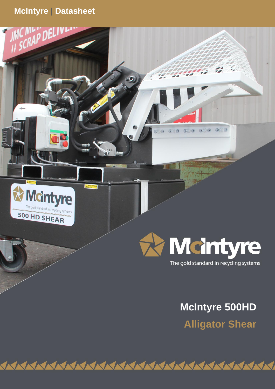# **McIntyre** | **Datasheet**

**d**

SCRA





**JMC Recycling Systems Ltd**

 $\bullet$ 

The gold standard in recycling systems

**McIntyre 500HD**

**Alligator Shear**